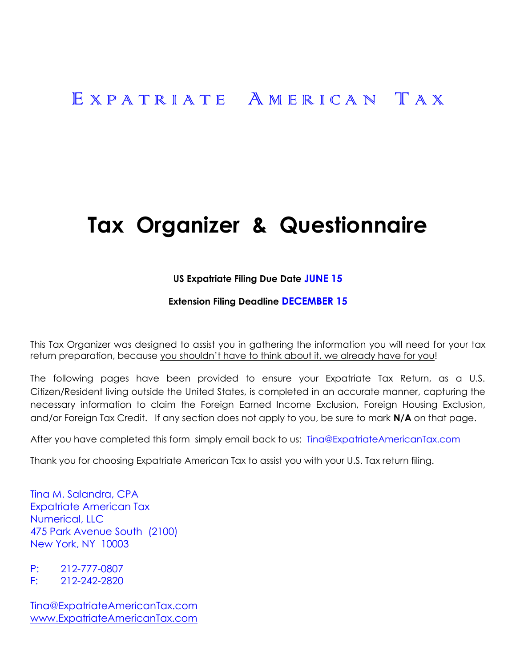# E X P A T R I A T E A M E R I C A N T A X

# **Tax Organizer & Questionnaire**

#### **US Expatriate Filing Due Date JUNE 15**

#### **Extension Filing Deadline DECEMBER 15**

This Tax Organizer was designed to assist you in gathering the information you will need for your tax return preparation, because you shouldn't have to think about it, we already have for you!

The following pages have been provided to ensure your Expatriate Tax Return, as a U.S. Citizen/Resident living outside the United States, is completed in an accurate manner, capturing the necessary information to claim the Foreign Earned Income Exclusion, Foreign Housing Exclusion, and/or Foreign Tax Credit. If any section does not apply to you, be sure to mark **N/A** on that page.

After you have completed this form simply email back to us: [Tina@ExpatriateAmericanTax.com](mailto:Tina@ExpatriateAmericanTax.com)

Thank you for choosing Expatriate American Tax to assist you with your U.S. Tax return filing.

Tina M. Salandra, CPA Expatriate American Tax Numerical, LLC 475 Park Avenue South (2100) New York, NY 10003

P: 212-777-0807 F: 212-242-2820

Tina@ExpatriateAmericanTax.com [www.ExpatriateAmericanTax.com](http://www.expatriateamericantax.com/)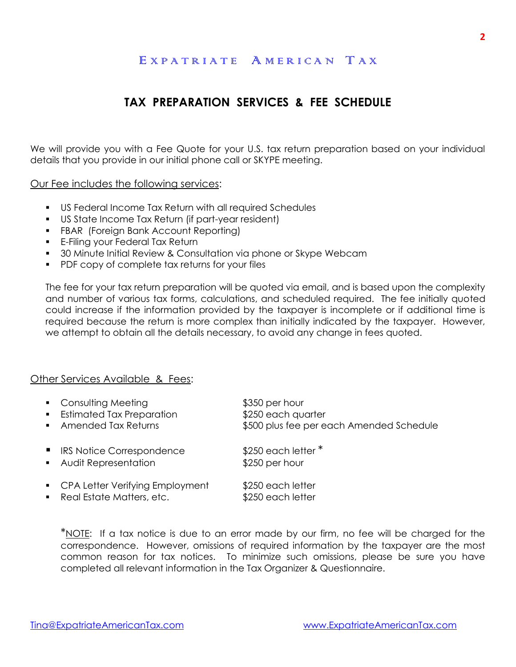### E X P A T R I A T F A M E R I C A N T A X

# **TAX PREPARATION SERVICES & FEE SCHEDULE**

We will provide you with a Fee Quote for your U.S. tax return preparation based on your individual details that you provide in our initial phone call or SKYPE meeting.

Our Fee includes the following services:

- US Federal Income Tax Return with all required Schedules
- US State Income Tax Return (if part-year resident)
- **FBAR (Foreign Bank Account Reporting)**
- **E-Filing your Federal Tax Return**
- 30 Minute Initial Review & Consultation via phone or Skype Webcam
- **PDF copy of complete tax returns for your files**

The fee for your tax return preparation will be quoted via email, and is based upon the complexity and number of various tax forms, calculations, and scheduled required. The fee initially quoted could increase if the information provided by the taxpayer is incomplete or if additional time is required because the return is more complex than initially indicated by the taxpayer. However, we attempt to obtain all the details necessary, to avoid any change in fees quoted.

#### Other Services Available & Fees:

| $\blacksquare$ | • Consulting Meeting<br><b>Estimated Tax Preparation</b><br>Amended Tax Returns | \$350 per hour<br>\$250 each quarter<br>\$500 plus fee per each Amended Schedule |
|----------------|---------------------------------------------------------------------------------|----------------------------------------------------------------------------------|
|                | ■ IRS Notice Correspondence<br><b>Audit Representation</b>                      | $$250$ each letter $*$<br>\$250 per hour                                         |
|                | CPA Letter Verifying Employment<br>• Real Estate Matters, etc.                  | \$250 each letter<br>\$250 each letter                                           |

\*NOTE: If a tax notice is due to an error made by our firm, no fee will be charged for the correspondence. However, omissions of required information by the taxpayer are the most common reason for tax notices. To minimize such omissions, please be sure you have completed all relevant information in the Tax Organizer & Questionnaire.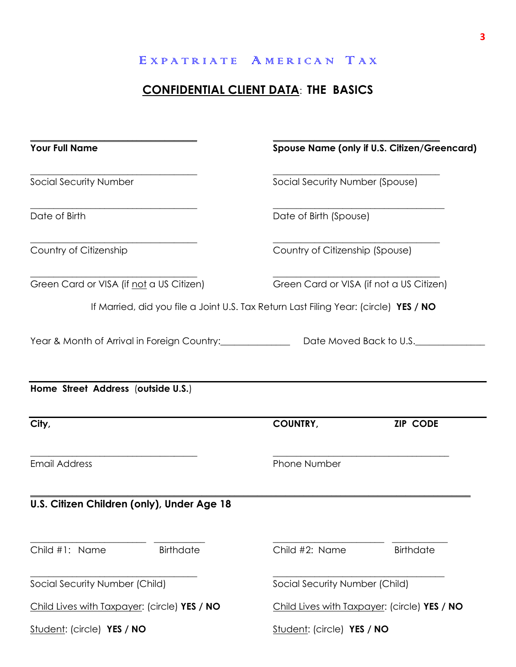# **CONFIDENTIAL CLIENT DATA**: **THE BASICS**

| <b>Your Full Name</b>                                                                                                                          |                                 | Spouse Name (only if U.S. Citizen/Greencard) |
|------------------------------------------------------------------------------------------------------------------------------------------------|---------------------------------|----------------------------------------------|
| <b>Social Security Number</b>                                                                                                                  | Social Security Number (Spouse) |                                              |
| Date of Birth                                                                                                                                  | Date of Birth (Spouse)          |                                              |
| Country of Citizenship                                                                                                                         | Country of Citizenship (Spouse) |                                              |
| Green Card or VISA (if not a US Citizen)                                                                                                       |                                 | Green Card or VISA (if not a US Citizen)     |
| If Married, did you file a Joint U.S. Tax Return Last Filing Year: (circle) YES / NO                                                           |                                 |                                              |
| Year & Month of Arrival in Foreign Country:________________________Date Moved Back to U.S._________                                            |                                 |                                              |
|                                                                                                                                                |                                 |                                              |
|                                                                                                                                                | <b>COUNTRY,</b>                 | <b>ZIP CODE</b>                              |
| Home Street Address (outside U.S.)<br>City,<br><b>Email Address</b>                                                                            | Phone Number                    |                                              |
|                                                                                                                                                |                                 |                                              |
| <b>Birthdate</b>                                                                                                                               | Child #2: Name                  | <b>Birthdate</b>                             |
|                                                                                                                                                | Social Security Number (Child)  |                                              |
| U.S. Citizen Children (only), Under Age 18<br>Child #1: Name<br>Social Security Number (Child)<br>Child Lives with Taxpayer: (circle) YES / NO |                                 | Child Lives with Taxpayer: (circle) YES / NO |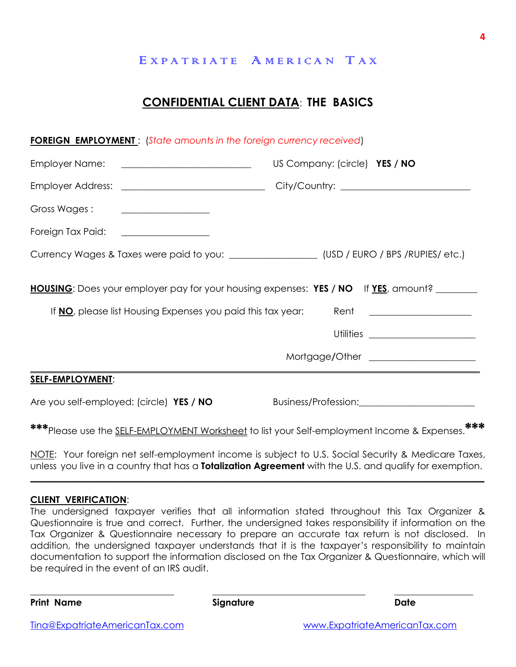# **CONFIDENTIAL CLIENT DATA**: **THE BASICS**

| <b>FOREIGN EMPLOYMENT:</b> (State amounts in the foreign currency received) |                                                                                                     |  |
|-----------------------------------------------------------------------------|-----------------------------------------------------------------------------------------------------|--|
| Employer Name: <u>___________________________</u>                           | US Company: (circle) YES / NO                                                                       |  |
|                                                                             |                                                                                                     |  |
| Gross Wages:<br><u> 1986 - Johann Stein, fransk politik (</u>               |                                                                                                     |  |
| Foreign Tax Paid: __________________                                        |                                                                                                     |  |
|                                                                             | Currency Wages & Taxes were paid to you: __________________(USD / EURO / BPS /RUPIES/ etc.)         |  |
|                                                                             | <b>HOUSING</b> : Does your employer pay for your housing expenses: YES / NO If <u>YES</u> , amount? |  |
| If <b>NO</b> , please list Housing Expenses you paid this tax year:         | Rent ____________________                                                                           |  |
|                                                                             |                                                                                                     |  |
|                                                                             | Mortgage/Other ______________________                                                               |  |
| <b>SELF-EMPLOYMENT:</b>                                                     |                                                                                                     |  |
| Are you self-employed: (circle) YES / NO                                    | Business/Profession: 2008 2010 2021                                                                 |  |
|                                                                             | ***Please use the <u>SELF-EMPLOYMENT Worksheet</u> to list your Self-employment Income & Expenses.  |  |

NOTE: Your foreign net self-employment income is subject to U.S. Social Security & Medicare Taxes, unless you live in a country that has a **Totalization Agreement** with the U.S. and qualify for exemption.

**\_\_\_\_\_\_\_\_\_\_\_\_\_\_\_\_\_\_\_\_\_\_\_\_\_\_\_\_\_\_\_\_\_\_\_\_\_\_\_\_\_\_\_\_\_\_\_\_\_\_\_\_\_\_\_\_\_\_\_\_\_\_\_\_\_\_\_\_\_\_\_\_\_\_\_\_\_\_\_\_\_\_\_\_\_\_\_\_\_\_\_\_\_\_\_\_\_\_**

#### **CLIENT VERIFICATION**:

The undersigned taxpayer verifies that all information stated throughout this Tax Organizer & Questionnaire is true and correct. Further, the undersigned takes responsibility if information on the Tax Organizer & Questionnaire necessary to prepare an accurate tax return is not disclosed. In addition, the undersigned taxpayer understands that it is the taxpayer's responsibility to maintain documentation to support the information disclosed on the Tax Organizer & Questionnaire, which will be required in the event of an IRS audit.

\_\_\_\_\_\_\_\_\_\_\_\_\_\_\_\_\_\_\_\_\_\_\_\_\_\_\_\_\_\_\_ \_\_\_\_\_\_\_\_\_\_\_\_\_\_\_\_\_\_\_\_\_\_\_\_\_\_\_\_\_\_\_\_\_ \_\_\_\_\_\_\_\_\_\_\_\_\_\_\_\_\_

**Print Name Signature Date**

**4**

[Tina@ExpatriateAmericanTax.com](mailto:Tina@ExpatriateAmericanTax.com) [www.ExpatriateAmericanTax.com](http://www.expatriateamericantax.com/)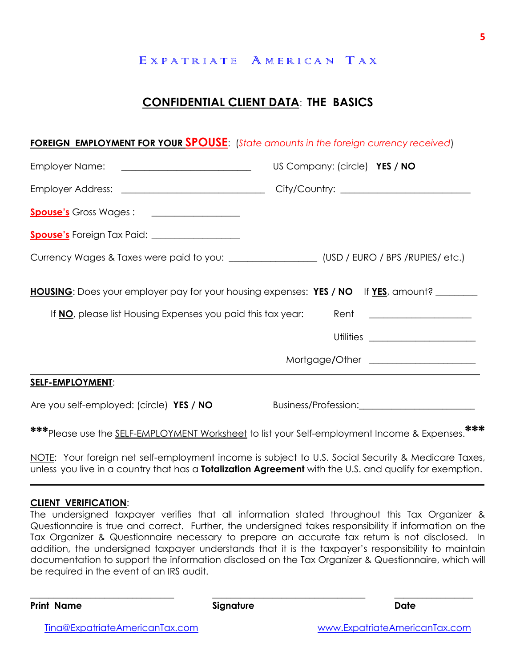## **CONFIDENTIAL CLIENT DATA**: **THE BASICS**

#### **FOREIGN EMPLOYMENT FOR YOUR SPOUSE**: (*State amounts in the foreign currency received*)

| Employer Name: ____________________________                                                  | US Company: (circle) YES / NO                                                                       |
|----------------------------------------------------------------------------------------------|-----------------------------------------------------------------------------------------------------|
|                                                                                              |                                                                                                     |
|                                                                                              |                                                                                                     |
| <b>Spouse's</b> Foreign Tax Paid: ____________________                                       |                                                                                                     |
| Currency Wages & Taxes were paid to you: ___________________(USD / EURO / BPS /RUPIES/ etc.) |                                                                                                     |
|                                                                                              | <b>HOUSING</b> : Does your employer pay for your housing expenses: YES / NO If <u>YES</u> , amount? |
| If NO, please list Housing Expenses you paid this tax year:                                  | Rent ____________________                                                                           |
|                                                                                              | Utilities _______________________                                                                   |
|                                                                                              | Mortgage/Other ____________________                                                                 |
| <b>SELF-EMPLOYMENT:</b>                                                                      |                                                                                                     |
| Are you self-employed: (circle) YES / NO                                                     | Business/Profession: 2008                                                                           |
|                                                                                              | ، مانه مانه                                                                                         |

**\*\*\***Please use the SELF-EMPLOYMENT Worksheet to list your Self-employment Income & Expenses.**\*\*\***

NOTE: Your foreign net self-employment income is subject to U.S. Social Security & Medicare Taxes, unless you live in a country that has a **Totalization Agreement** with the U.S. and qualify for exemption.

**\_\_\_\_\_\_\_\_\_\_\_\_\_\_\_\_\_\_\_\_\_\_\_\_\_\_\_\_\_\_\_\_\_\_\_\_\_\_\_\_\_\_\_\_\_\_\_\_\_\_\_\_\_\_\_\_\_\_\_\_\_\_\_\_\_\_\_\_\_\_\_\_\_\_\_\_\_\_\_\_\_\_\_\_\_\_\_\_\_\_\_\_\_\_\_\_\_\_**

#### **CLIENT VERIFICATION**:

The undersigned taxpayer verifies that all information stated throughout this Tax Organizer & Questionnaire is true and correct. Further, the undersigned takes responsibility if information on the Tax Organizer & Questionnaire necessary to prepare an accurate tax return is not disclosed. In addition, the undersigned taxpayer understands that it is the taxpayer's responsibility to maintain documentation to support the information disclosed on the Tax Organizer & Questionnaire, which will be required in the event of an IRS audit.

\_\_\_\_\_\_\_\_\_\_\_\_\_\_\_\_\_\_\_\_\_\_\_\_\_\_\_\_\_\_\_ \_\_\_\_\_\_\_\_\_\_\_\_\_\_\_\_\_\_\_\_\_\_\_\_\_\_\_\_\_\_\_\_\_ \_\_\_\_\_\_\_\_\_\_\_\_\_\_\_\_\_

**Print Name Signature Date**

[Tina@ExpatriateAmericanTax.com](mailto:Tina@ExpatriateAmericanTax.com) [www.ExpatriateAmericanTax.com](http://www.expatriateamericantax.com/)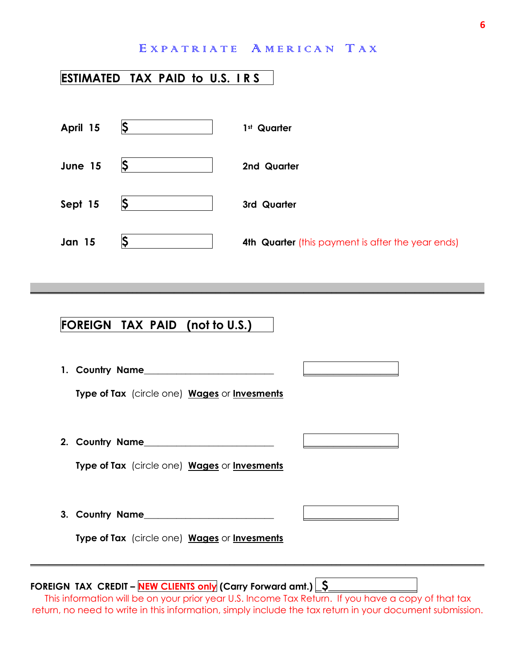# **ESTIMATED TAX PAID to U.S. I R S**

| April 15      | S  | 1 <sup>st</sup> Quarter                           |
|---------------|----|---------------------------------------------------|
| June 15       | Ş  | 2nd Quarter                                       |
| Sept 15       | IS | 3rd Quarter                                       |
| <b>Jan 15</b> |    | 4th Quarter (this payment is after the year ends) |

**\_\_\_\_\_\_\_\_\_\_\_\_\_\_\_\_\_\_\_\_\_\_\_\_\_\_\_\_\_\_\_\_\_\_\_\_\_\_\_\_\_\_\_\_\_\_\_\_\_\_\_\_\_\_\_\_\_\_\_\_\_\_\_\_\_\_\_\_\_\_\_\_\_\_\_\_\_\_\_\_\_\_\_\_\_\_\_\_\_\_\_\_\_\_\_\_\_\_**

# **FOREIGN TAX PAID (not to U.S.)**

| 1. Country Name                              |  |
|----------------------------------------------|--|
| Type of Tax (circle one) Wages or Invesments |  |
|                                              |  |
| 2. Country Name                              |  |
| Type of Tax (circle one) Wages or Invesments |  |
|                                              |  |
| 3. Country Name                              |  |
| Type of Tax (circle one) Wages or Invesments |  |
|                                              |  |

# FOREIGN TAX CREDIT - **NEW CLIENTS only** (Carry Forward amt.)  $\boxed{S}$

This information will be on your prior year U.S. Income Tax Return. If you have a copy of that tax return, no need to write in this information, simply include the tax return in your document submission.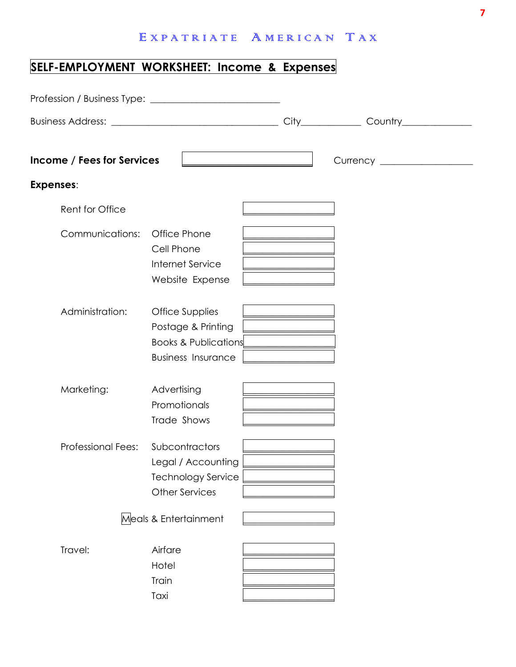# **SELF-EMPLOYMENT WORKSHEET: Income & Expenses**

| <b>Income / Fees for Services</b> |                                                                                                                     |                                                                                                                                                                                                                                                    |  |
|-----------------------------------|---------------------------------------------------------------------------------------------------------------------|----------------------------------------------------------------------------------------------------------------------------------------------------------------------------------------------------------------------------------------------------|--|
| Expenses:                         |                                                                                                                     |                                                                                                                                                                                                                                                    |  |
| Rent for Office                   |                                                                                                                     |                                                                                                                                                                                                                                                    |  |
| Communications:                   | Office Phone<br>Cell Phone<br>Internet Service<br>Website Expense                                                   | <u> 1989 - Johann Stoff, deutscher Stoffen und der Stoffen und der Stoffen und der Stoffen und der Stoffen und der </u><br><u> 1989 - Johann Stoff, deutscher Stoffen und der Stoffen und der Stoffen und der Stoffen und der Stoffen und der </u> |  |
| Administration:                   | <b>Office Supplies</b><br>Postage & Printing<br><b>Books &amp; Publications</b><br><b>Business Insurance</b>        |                                                                                                                                                                                                                                                    |  |
| Marketing:                        | Advertising<br>Promotionals<br>Trade Shows                                                                          |                                                                                                                                                                                                                                                    |  |
| <b>Professional Fees:</b>         | Subcontractors<br>Legal / Accounting<br><b>Technology Service</b><br><b>Other Services</b><br>Meals & Entertainment |                                                                                                                                                                                                                                                    |  |
| Travel:                           | Airfare<br>Hotel<br>Train<br>Taxi                                                                                   |                                                                                                                                                                                                                                                    |  |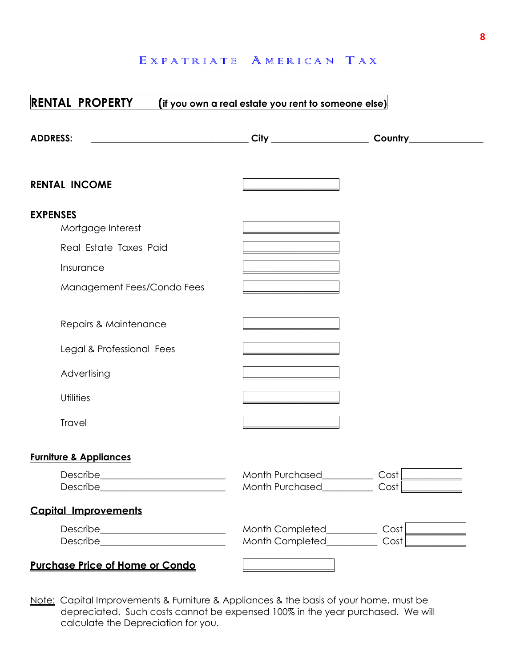| <b>RENTAL PROPERTY</b>                                                                                                                                                                             | (if you own a real estate you rent to someone else)         |                                                                                                                                                                                                                                                     |
|----------------------------------------------------------------------------------------------------------------------------------------------------------------------------------------------------|-------------------------------------------------------------|-----------------------------------------------------------------------------------------------------------------------------------------------------------------------------------------------------------------------------------------------------|
| <b>ADDRESS:</b>                                                                                                                                                                                    |                                                             | Country____                                                                                                                                                                                                                                         |
| <b>RENTAL INCOME</b>                                                                                                                                                                               |                                                             |                                                                                                                                                                                                                                                     |
| <b>EXPENSES</b><br>Mortgage Interest<br>Real Estate Taxes Paid<br>Insurance<br>Management Fees/Condo Fees<br>Repairs & Maintenance<br>Legal & Professional Fees<br>Advertising<br><b>Utilities</b> |                                                             |                                                                                                                                                                                                                                                     |
| Travel                                                                                                                                                                                             |                                                             |                                                                                                                                                                                                                                                     |
| <b>Furniture &amp; Appliances</b>                                                                                                                                                                  |                                                             |                                                                                                                                                                                                                                                     |
| Describe___________________________                                                                                                                                                                | Month Purchased_________<br>Month Purchased Cost            | Cost <sub>l</sub>                                                                                                                                                                                                                                   |
| <b>Capital Improvements</b>                                                                                                                                                                        |                                                             |                                                                                                                                                                                                                                                     |
|                                                                                                                                                                                                    | Month Completed_________<br>Month Completed________         | Cost <sub>1</sub><br>Cost in the cost of the cost of the cost of the cost of the cost of the cost of the cost of the cost of the cost of the cost of the cost of the cost of the cost of the cost of the cost of the cost of the cost of the cost o |
| <b>Purchase Price of Home or Condo</b>                                                                                                                                                             | the control of the control of the control of the control of |                                                                                                                                                                                                                                                     |

Note: Capital Improvements & Furniture & Appliances & the basis of your home, must be depreciated. Such costs cannot be expensed 100% in the year purchased. We will calculate the Depreciation for you.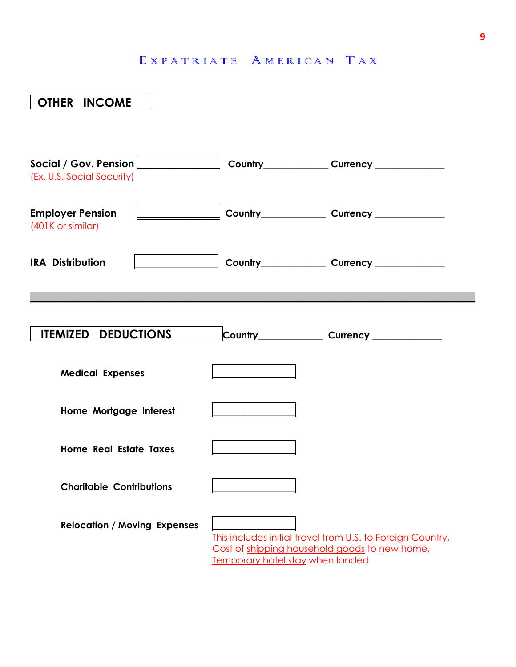| <b>OTHER INCOME</b>                                                              |                                         |                                                                                                             |
|----------------------------------------------------------------------------------|-----------------------------------------|-------------------------------------------------------------------------------------------------------------|
| Social / Gov. Pension <b>Social / Gov. Pension</b><br>(Ex. U.S. Social Security) |                                         | Country_______________Currency _______________                                                              |
| <b>Employer Pension</b><br>(401K or similar)                                     |                                         |                                                                                                             |
| <b>IRA Distribution</b>                                                          |                                         |                                                                                                             |
| <b>Medical Expenses</b>                                                          |                                         |                                                                                                             |
| <b>DEDUCTIONS</b><br><b>ITEMIZED</b>                                             |                                         | Country_________________Currency _______________                                                            |
| Home Mortgage Interest                                                           |                                         |                                                                                                             |
| <b>Home Real Estate Taxes</b>                                                    |                                         |                                                                                                             |
| <b>Charitable Contributions</b>                                                  |                                         |                                                                                                             |
| <b>Relocation / Moving Expenses</b>                                              | <b>Temporary hotel stay when landed</b> | This includes initial travel from U.S. to Foreign Country,<br>Cost of shipping household goods to new home, |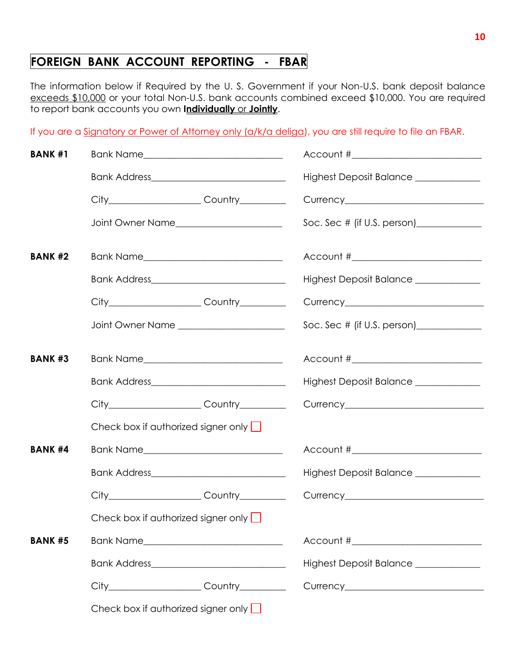# **FOREIGN BANK ACCOUNT REPORTING - FBAR**

The information below if Required by the U. S. Government if your Non-U.S. bank deposit balance exceeds \$10,000 or your total Non-U.S. bank accounts combined exceed \$10,000. You are required to report bank accounts you own **Individually** or **Jointly**.

If you are a Signatory or Power of Attorney only (a/k/a deliga), you are still require to file an FBAR.

| <b>BANK #1</b> |                                            |                                                   | Account #__________________________                                              |
|----------------|--------------------------------------------|---------------------------------------------------|----------------------------------------------------------------------------------|
|                |                                            | Bank Address_______________________________       | Highest Deposit Balance ____________                                             |
|                |                                            | City_______________________Country__________      |                                                                                  |
|                |                                            |                                                   |                                                                                  |
| <b>BANK #2</b> |                                            |                                                   | Account #_________________________                                               |
|                |                                            |                                                   | Highest Deposit Balance _____________                                            |
|                |                                            | City________________________Country__________     |                                                                                  |
|                |                                            | Joint Owner Name _________________________        |                                                                                  |
| <b>BANK #3</b> |                                            |                                                   |                                                                                  |
|                |                                            |                                                   | Highest Deposit Balance ____________                                             |
|                |                                            | City___________________________Country___________ |                                                                                  |
|                | Check box if authorized signer only $\Box$ |                                                   |                                                                                  |
| <b>BANK #4</b> |                                            |                                                   |                                                                                  |
|                |                                            |                                                   | Highest Deposit Balance _____________                                            |
|                |                                            | City________________________Country__________     |                                                                                  |
|                | Check box if authorized signer only $\Box$ |                                                   |                                                                                  |
| <b>BANK #5</b> |                                            |                                                   |                                                                                  |
|                |                                            |                                                   | Highest Deposit Balance _____________                                            |
|                |                                            |                                                   | City____________________Country________________Currency_________________________ |
|                | Check box if authorized signer only $\Box$ |                                                   |                                                                                  |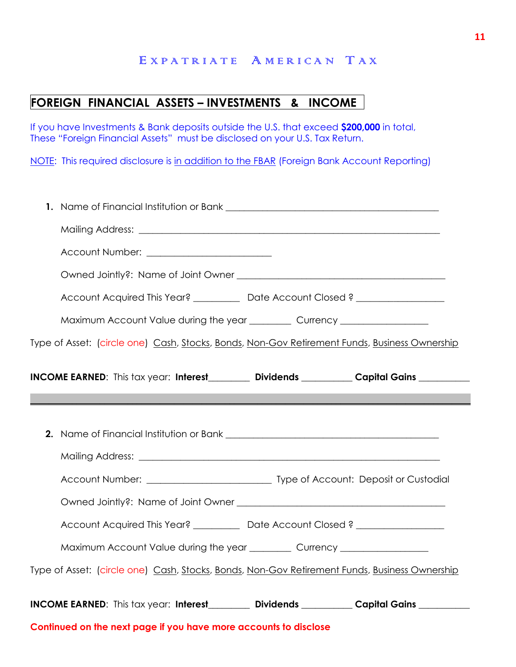# **FOREIGN FINANCIAL ASSETS – INVESTMENTS & INCOME**

If you have Investments & Bank deposits outside the U.S. that exceed **\$200,000** in total, These "Foreign Financial Assets" must be disclosed on your U.S. Tax Return.

NOTE: This required disclosure is in addition to the FBAR (Foreign Bank Account Reporting)

| Account Number: __________________________                                                    |
|-----------------------------------------------------------------------------------------------|
|                                                                                               |
| Account Acquired This Year? ___________ Date Account Closed? ___________________              |
| Maximum Account Value during the year ___________ Currency _____________________              |
| Type of Asset: (circle one) Cash, Stocks, Bonds, Non-Gov Retirement Funds, Business Ownership |
| INCOME EARNED: This tax year: Interest_earnal pividends _________ Capital Gains _______       |
|                                                                                               |
|                                                                                               |
|                                                                                               |
|                                                                                               |
|                                                                                               |
| Account Acquired This Year? __________ Date Account Closed? ____________________              |
| Maximum Account Value during the year ___________ Currency _____________________              |
| Type of Asset: (circle one) Cash, Stocks, Bonds, Non-Gov Retirement Funds, Business Ownership |
| INCOME EARNED: This tax year: Interest_earnal pividends _________ Capital Gains _______       |
| Continued on the next page if you have more accounts to disclose                              |